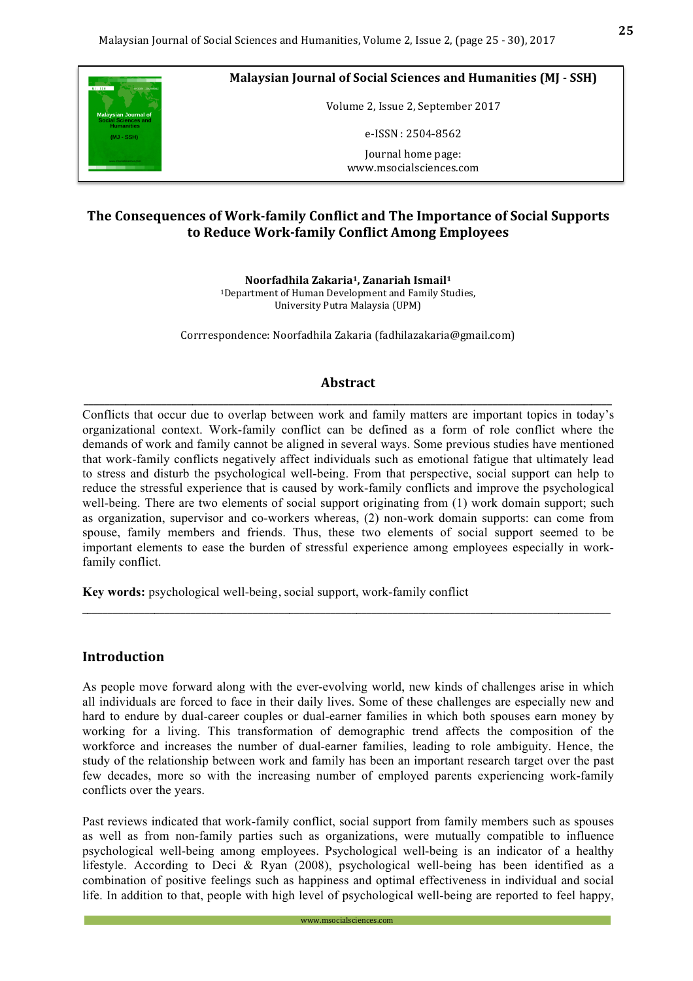

**Malaysian Journal of Social Sciences and Humanities (MJ - SSH)** 

Volume 2, Issue 2, September 2017

e-ISSN : 2504-8562

Journal home page: www.msocialsciences.com

# **The Consequences of Work-family Conflict and The Importance of Social Supports to Reduce Work-family Conflict Among Employees**

**Noorfadhila Zakaria1, Zanariah Ismail1** <sup>1</sup>Department of Human Development and Family Studies, University Putra Malaysia (UPM)

Corrrespondence: Noorfadhila Zakaria (fadhilazakaria@gmail.com)

### Abstract \_\_\_\_\_\_\_\_\_\_\_\_\_\_\_\_\_\_\_\_\_\_\_\_\_\_\_\_\_\_\_\_\_\_\_\_\_\_\_\_\_\_\_\_\_\_\_\_\_\_\_\_\_\_\_\_\_\_\_\_\_\_\_\_\_\_\_\_\_\_\_\_\_\_\_\_\_\_\_\_\_\_\_\_\_\_\_\_\_\_\_\_\_\_\_\_\_\_\_\_\_\_

Conflicts that occur due to overlap between work and family matters are important topics in today's organizational context. Work-family conflict can be defined as a form of role conflict where the demands of work and family cannot be aligned in several ways. Some previous studies have mentioned that work-family conflicts negatively affect individuals such as emotional fatigue that ultimately lead to stress and disturb the psychological well-being. From that perspective, social support can help to reduce the stressful experience that is caused by work-family conflicts and improve the psychological well-being. There are two elements of social support originating from (1) work domain support; such as organization, supervisor and co-workers whereas, (2) non-work domain supports: can come from spouse, family members and friends. Thus, these two elements of social support seemed to be important elements to ease the burden of stressful experience among employees especially in workfamily conflict.

\_\_\_\_\_\_\_\_\_\_\_\_\_\_\_\_\_\_\_\_\_\_\_\_\_\_\_\_\_\_\_\_\_\_\_\_\_\_\_\_\_\_\_\_\_\_\_\_\_\_\_\_\_\_\_\_\_\_\_\_\_\_\_\_\_\_\_\_\_\_\_\_\_\_\_\_\_\_\_\_\_\_\_\_\_\_\_\_\_\_\_\_\_\_\_\_\_\_\_\_\_\_

**Key words:** psychological well-being, social support, work-family conflict

# **Introduction**

As people move forward along with the ever-evolving world, new kinds of challenges arise in which all individuals are forced to face in their daily lives. Some of these challenges are especially new and hard to endure by dual-career couples or dual-earner families in which both spouses earn money by working for a living. This transformation of demographic trend affects the composition of the workforce and increases the number of dual-earner families, leading to role ambiguity. Hence, the study of the relationship between work and family has been an important research target over the past few decades, more so with the increasing number of employed parents experiencing work-family conflicts over the years.

Past reviews indicated that work-family conflict, social support from family members such as spouses as well as from non-family parties such as organizations, were mutually compatible to influence psychological well-being among employees. Psychological well-being is an indicator of a healthy lifestyle. According to Deci & Ryan (2008), psychological well-being has been identified as a combination of positive feelings such as happiness and optimal effectiveness in individual and social life. In addition to that, people with high level of psychological well-being are reported to feel happy,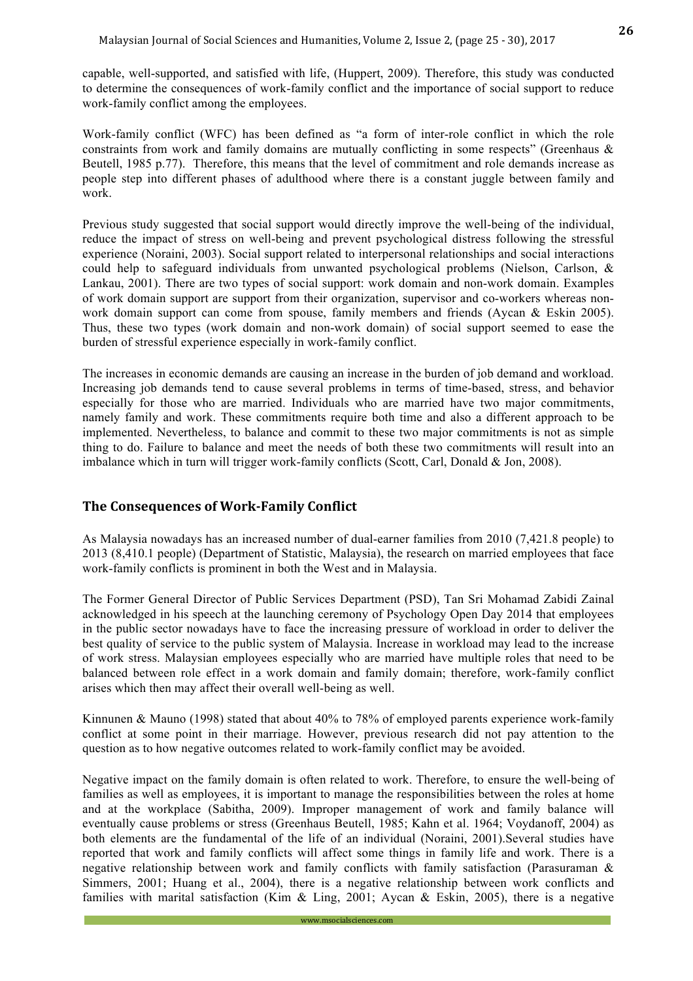capable, well-supported, and satisfied with life, (Huppert, 2009). Therefore, this study was conducted to determine the consequences of work-family conflict and the importance of social support to reduce work-family conflict among the employees.

Work-family conflict (WFC) has been defined as "a form of inter-role conflict in which the role constraints from work and family domains are mutually conflicting in some respects" (Greenhaus & Beutell, 1985 p.77). Therefore, this means that the level of commitment and role demands increase as people step into different phases of adulthood where there is a constant juggle between family and work.

Previous study suggested that social support would directly improve the well-being of the individual, reduce the impact of stress on well-being and prevent psychological distress following the stressful experience (Noraini, 2003). Social support related to interpersonal relationships and social interactions could help to safeguard individuals from unwanted psychological problems (Nielson, Carlson, & Lankau, 2001). There are two types of social support: work domain and non-work domain. Examples of work domain support are support from their organization, supervisor and co-workers whereas nonwork domain support can come from spouse, family members and friends (Aycan & Eskin 2005). Thus, these two types (work domain and non-work domain) of social support seemed to ease the burden of stressful experience especially in work-family conflict.

The increases in economic demands are causing an increase in the burden of job demand and workload. Increasing job demands tend to cause several problems in terms of time-based, stress, and behavior especially for those who are married. Individuals who are married have two major commitments, namely family and work. These commitments require both time and also a different approach to be implemented. Nevertheless, to balance and commit to these two major commitments is not as simple thing to do. Failure to balance and meet the needs of both these two commitments will result into an imbalance which in turn will trigger work-family conflicts (Scott, Carl, Donald & Jon, 2008).

# **The Consequences of Work-Family Conflict**

As Malaysia nowadays has an increased number of dual-earner families from 2010 (7,421.8 people) to 2013 (8,410.1 people) (Department of Statistic, Malaysia), the research on married employees that face work-family conflicts is prominent in both the West and in Malaysia.

The Former General Director of Public Services Department (PSD), Tan Sri Mohamad Zabidi Zainal acknowledged in his speech at the launching ceremony of Psychology Open Day 2014 that employees in the public sector nowadays have to face the increasing pressure of workload in order to deliver the best quality of service to the public system of Malaysia. Increase in workload may lead to the increase of work stress. Malaysian employees especially who are married have multiple roles that need to be balanced between role effect in a work domain and family domain; therefore, work-family conflict arises which then may affect their overall well-being as well.

Kinnunen & Mauno (1998) stated that about 40% to 78% of employed parents experience work-family conflict at some point in their marriage. However, previous research did not pay attention to the question as to how negative outcomes related to work-family conflict may be avoided.

Negative impact on the family domain is often related to work. Therefore, to ensure the well-being of families as well as employees, it is important to manage the responsibilities between the roles at home and at the workplace (Sabitha, 2009). Improper management of work and family balance will eventually cause problems or stress (Greenhaus Beutell, 1985; Kahn et al. 1964; Voydanoff, 2004) as both elements are the fundamental of the life of an individual (Noraini, 2001).Several studies have reported that work and family conflicts will affect some things in family life and work. There is a negative relationship between work and family conflicts with family satisfaction (Parasuraman & Simmers, 2001; Huang et al., 2004), there is a negative relationship between work conflicts and families with marital satisfaction (Kim & Ling, 2001; Aycan & Eskin, 2005), there is a negative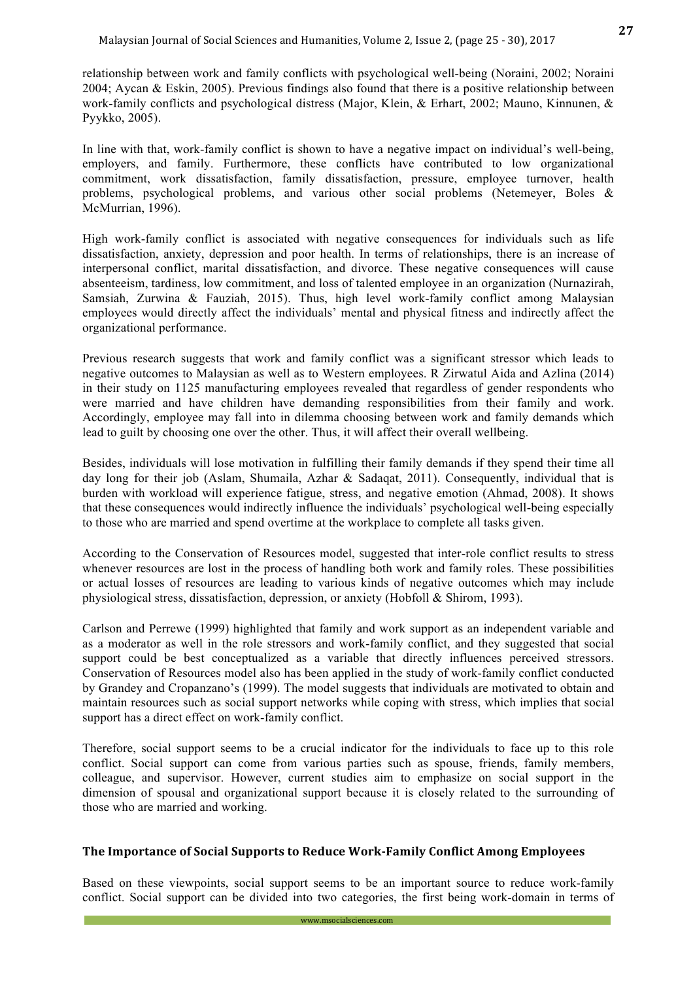relationship between work and family conflicts with psychological well-being (Noraini, 2002; Noraini 2004; Aycan & Eskin, 2005). Previous findings also found that there is a positive relationship between work-family conflicts and psychological distress (Major, Klein, & Erhart, 2002; Mauno, Kinnunen, & Pyykko, 2005).

In line with that, work-family conflict is shown to have a negative impact on individual's well-being, employers, and family. Furthermore, these conflicts have contributed to low organizational commitment, work dissatisfaction, family dissatisfaction, pressure, employee turnover, health problems, psychological problems, and various other social problems (Netemeyer, Boles & McMurrian, 1996).

High work-family conflict is associated with negative consequences for individuals such as life dissatisfaction, anxiety, depression and poor health. In terms of relationships, there is an increase of interpersonal conflict, marital dissatisfaction, and divorce. These negative consequences will cause absenteeism, tardiness, low commitment, and loss of talented employee in an organization (Nurnazirah, Samsiah, Zurwina & Fauziah, 2015). Thus, high level work-family conflict among Malaysian employees would directly affect the individuals' mental and physical fitness and indirectly affect the organizational performance.

Previous research suggests that work and family conflict was a significant stressor which leads to negative outcomes to Malaysian as well as to Western employees. R Zirwatul Aida and Azlina (2014) in their study on 1125 manufacturing employees revealed that regardless of gender respondents who were married and have children have demanding responsibilities from their family and work. Accordingly, employee may fall into in dilemma choosing between work and family demands which lead to guilt by choosing one over the other. Thus, it will affect their overall wellbeing.

Besides, individuals will lose motivation in fulfilling their family demands if they spend their time all day long for their job (Aslam, Shumaila, Azhar & Sadaqat, 2011). Consequently, individual that is burden with workload will experience fatigue, stress, and negative emotion (Ahmad, 2008). It shows that these consequences would indirectly influence the individuals' psychological well-being especially to those who are married and spend overtime at the workplace to complete all tasks given.

According to the Conservation of Resources model, suggested that inter-role conflict results to stress whenever resources are lost in the process of handling both work and family roles. These possibilities or actual losses of resources are leading to various kinds of negative outcomes which may include physiological stress, dissatisfaction, depression, or anxiety (Hobfoll & Shirom, 1993).

Carlson and Perrewe (1999) highlighted that family and work support as an independent variable and as a moderator as well in the role stressors and work-family conflict, and they suggested that social support could be best conceptualized as a variable that directly influences perceived stressors. Conservation of Resources model also has been applied in the study of work-family conflict conducted by Grandey and Cropanzano's (1999). The model suggests that individuals are motivated to obtain and maintain resources such as social support networks while coping with stress, which implies that social support has a direct effect on work-family conflict.

Therefore, social support seems to be a crucial indicator for the individuals to face up to this role conflict. Social support can come from various parties such as spouse, friends, family members, colleague, and supervisor. However, current studies aim to emphasize on social support in the dimension of spousal and organizational support because it is closely related to the surrounding of those who are married and working.

#### The Importance of Social Supports to Reduce Work-Family Conflict Among Employees

Based on these viewpoints, social support seems to be an important source to reduce work-family conflict. Social support can be divided into two categories, the first being work-domain in terms of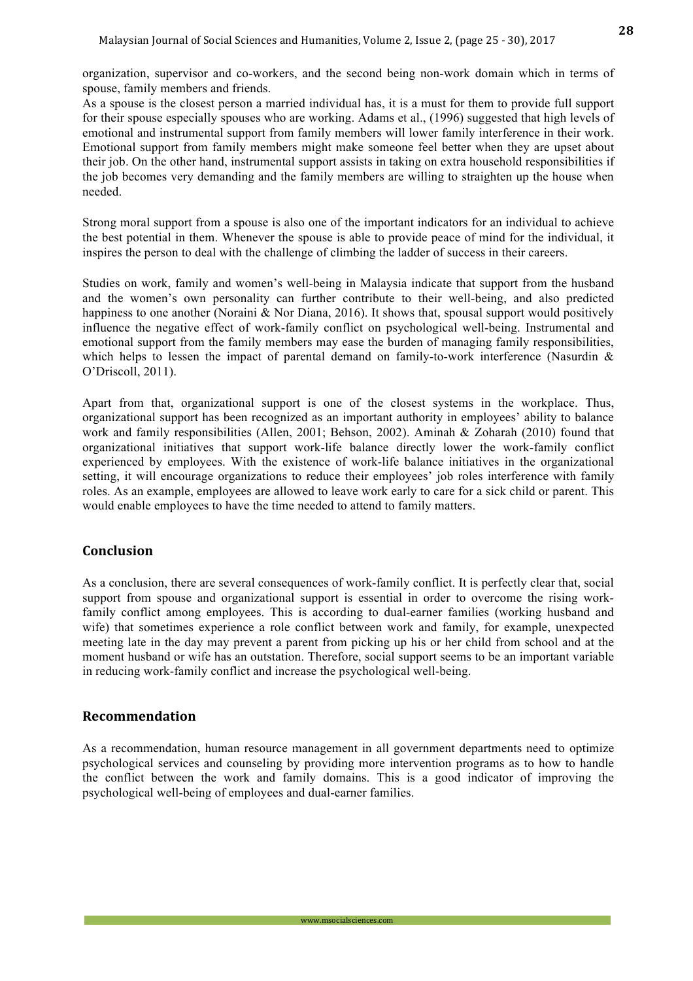organization, supervisor and co-workers, and the second being non-work domain which in terms of spouse, family members and friends.

As a spouse is the closest person a married individual has, it is a must for them to provide full support for their spouse especially spouses who are working. Adams et al., (1996) suggested that high levels of emotional and instrumental support from family members will lower family interference in their work. Emotional support from family members might make someone feel better when they are upset about their job. On the other hand, instrumental support assists in taking on extra household responsibilities if the job becomes very demanding and the family members are willing to straighten up the house when needed.

Strong moral support from a spouse is also one of the important indicators for an individual to achieve the best potential in them. Whenever the spouse is able to provide peace of mind for the individual, it inspires the person to deal with the challenge of climbing the ladder of success in their careers.

Studies on work, family and women's well-being in Malaysia indicate that support from the husband and the women's own personality can further contribute to their well-being, and also predicted happiness to one another (Noraini & Nor Diana, 2016). It shows that, spousal support would positively influence the negative effect of work-family conflict on psychological well-being. Instrumental and emotional support from the family members may ease the burden of managing family responsibilities, which helps to lessen the impact of parental demand on family-to-work interference (Nasurdin & O'Driscoll, 2011).

Apart from that, organizational support is one of the closest systems in the workplace. Thus, organizational support has been recognized as an important authority in employees' ability to balance work and family responsibilities (Allen, 2001; Behson, 2002). Aminah & Zoharah (2010) found that organizational initiatives that support work-life balance directly lower the work-family conflict experienced by employees. With the existence of work-life balance initiatives in the organizational setting, it will encourage organizations to reduce their employees' job roles interference with family roles. As an example, employees are allowed to leave work early to care for a sick child or parent. This would enable employees to have the time needed to attend to family matters.

# **Conclusion**

As a conclusion, there are several consequences of work-family conflict. It is perfectly clear that, social support from spouse and organizational support is essential in order to overcome the rising workfamily conflict among employees. This is according to dual-earner families (working husband and wife) that sometimes experience a role conflict between work and family, for example, unexpected meeting late in the day may prevent a parent from picking up his or her child from school and at the moment husband or wife has an outstation. Therefore, social support seems to be an important variable in reducing work-family conflict and increase the psychological well-being.

# **Recommendation**

As a recommendation, human resource management in all government departments need to optimize psychological services and counseling by providing more intervention programs as to how to handle the conflict between the work and family domains. This is a good indicator of improving the psychological well-being of employees and dual-earner families.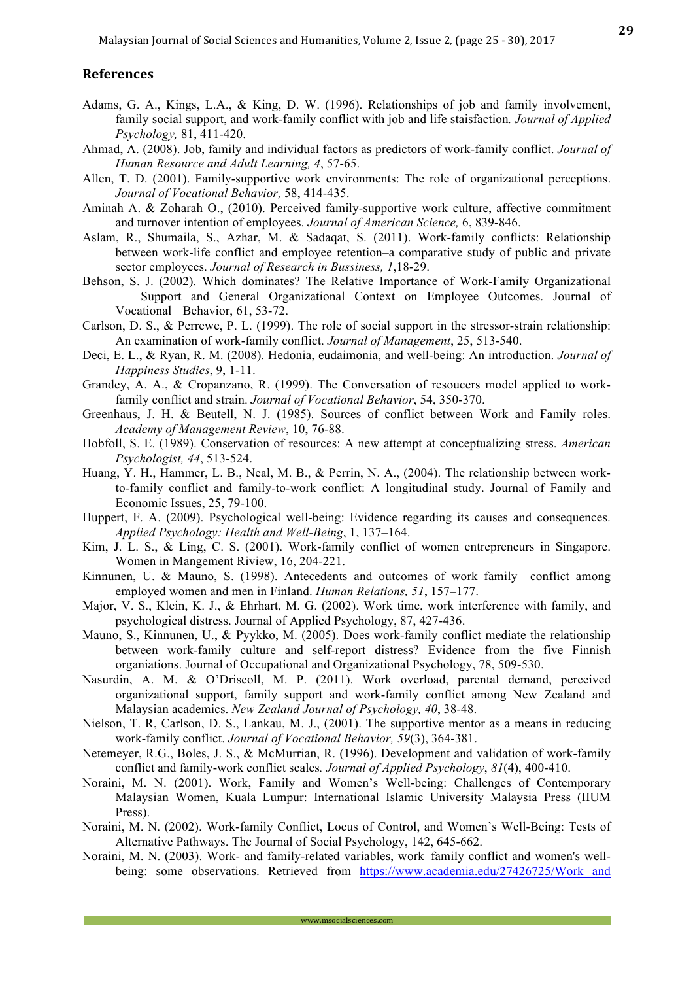### **References**

- Adams, G. A., Kings, L.A., & King, D. W. (1996). Relationships of job and family involvement, family social support, and work-family conflict with job and life staisfaction*. Journal of Applied Psychology,* 81, 411-420.
- Ahmad, A. (2008). Job, family and individual factors as predictors of work-family conflict. *Journal of Human Resource and Adult Learning, 4*, 57-65.
- Allen, T. D. (2001). Family-supportive work environments: The role of organizational perceptions. *Journal of Vocational Behavior,* 58, 414-435.
- Aminah A. & Zoharah O., (2010). Perceived family-supportive work culture, affective commitment and turnover intention of employees. *Journal of American Science,* 6, 839-846.
- Aslam, R., Shumaila, S., Azhar, M. & Sadaqat, S. (2011). Work-family conflicts: Relationship between work-life conflict and employee retention–a comparative study of public and private sector employees. *Journal of Research in Bussiness, 1*,18-29.
- Behson, S. J. (2002). Which dominates? The Relative Importance of Work-Family Organizational Support and General Organizational Context on Employee Outcomes. Journal of Vocational Behavior, 61, 53-72.
- Carlson, D. S., & Perrewe, P. L. (1999). The role of social support in the stressor-strain relationship: An examination of work-family conflict. *Journal of Management*, 25, 513-540.
- Deci, E. L., & Ryan, R. M. (2008). Hedonia, eudaimonia, and well-being: An introduction. *Journal of Happiness Studies*, 9, 1-11.
- Grandey, A. A., & Cropanzano, R. (1999). The Conversation of resoucers model applied to workfamily conflict and strain. *Journal of Vocational Behavior*, 54, 350-370.
- Greenhaus, J. H. & Beutell, N. J. (1985). Sources of conflict between Work and Family roles. *Academy of Management Review*, 10, 76-88.
- Hobfoll, S. E. (1989). Conservation of resources: A new attempt at conceptualizing stress. *American Psychologist, 44*, 513-524.
- Huang, Y. H., Hammer, L. B., Neal, M. B., & Perrin, N. A., (2004). The relationship between workto-family conflict and family-to-work conflict: A longitudinal study. Journal of Family and Economic Issues, 25, 79-100.
- Huppert, F. A. (2009). Psychological well-being: Evidence regarding its causes and consequences. *Applied Psychology: Health and Well-Being*, 1, 137–164.
- Kim, J. L. S., & Ling, C. S. (2001). Work-family conflict of women entrepreneurs in Singapore. Women in Mangement Riview, 16, 204-221.
- Kinnunen, U. & Mauno, S. (1998). Antecedents and outcomes of work–family conflict among employed women and men in Finland. *Human Relations, 51*, 157–177.
- Major, V. S., Klein, K. J., & Ehrhart, M. G. (2002). Work time, work interference with family, and psychological distress. Journal of Applied Psychology, 87, 427-436.
- Mauno, S., Kinnunen, U., & Pyykko, M. (2005). Does work-family conflict mediate the relationship between work-family culture and self-report distress? Evidence from the five Finnish organiations. Journal of Occupational and Organizational Psychology, 78, 509-530.
- Nasurdin, A. M. & O'Driscoll, M. P. (2011). Work overload, parental demand, perceived organizational support, family support and work-family conflict among New Zealand and Malaysian academics. *New Zealand Journal of Psychology, 40*, 38-48.
- Nielson, T. R, Carlson, D. S., Lankau, M. J., (2001). The supportive mentor as a means in reducing work-family conflict. *Journal of Vocational Behavior, 59*(3), 364-381.
- Netemeyer, R.G., Boles, J. S., & McMurrian, R. (1996). Development and validation of work-family conflict and family-work conflict scales*. Journal of Applied Psychology*, *81*(4), 400-410.
- Noraini, M. N. (2001). Work, Family and Women's Well-being: Challenges of Contemporary Malaysian Women, Kuala Lumpur: International Islamic University Malaysia Press (IIUM Press).
- Noraini, M. N. (2002). Work-family Conflict, Locus of Control, and Women's Well-Being: Tests of Alternative Pathways. The Journal of Social Psychology, 142, 645-662.
- Noraini, M. N. (2003). Work- and family-related variables, work–family conflict and women's wellbeing: some observations. Retrieved from https://www.academia.edu/27426725/Work and